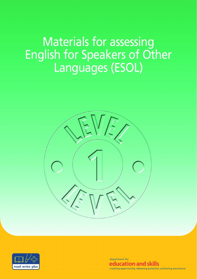# Materials for assessing English for Speakers of Other Languages (ESOL)





department for education and skills creating opportunity, releasing potential, achieving excellence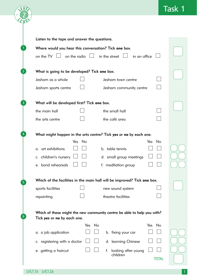|                |                                                                                                        | <b>Task 1</b> |
|----------------|--------------------------------------------------------------------------------------------------------|---------------|
|                | Listen to the tape and answer the questions.                                                           |               |
|                | Where would you hear this conversation? Tick one box.                                                  |               |
|                | on the TV<br>on the radio $\Box$<br>in the street l<br>in an office                                    |               |
| 2 <sup>1</sup> | What is going to be developed? Tick one box.                                                           |               |
|                | Jesham as a whole<br>Jesham town centre                                                                |               |
|                | Jesham sports centre<br>Jesham community centre                                                        |               |
| $\overline{3}$ | What will be developed first? Tick one box.                                                            |               |
|                | the main hall<br>the small hall                                                                        |               |
|                | the café area<br>the arts centre                                                                       |               |
| 4              | What might happen in the arts centre? Tick yes or no by each one.<br>Yes No<br>Yes<br><b>No</b>        |               |
|                | a. art exhibitions<br>b. table tennis                                                                  |               |
|                | c. children's nursery<br>d. small group meetings                                                       |               |
|                | e. band rehearsals<br>f. meditation group                                                              |               |
| 5              | Which of the facilities in the main hall will be improved? Tick one box.                               |               |
|                | sports facilities<br>new sound system                                                                  |               |
|                | theatre facilities<br>repainting                                                                       |               |
| 6              | Which of these might the new community centre be able to help you with?<br>Tick yes or no by each one. |               |
|                | No<br>Yes No<br>Yes<br>a. a job application<br>b. fixing your car                                      |               |
|                | c. registering with a doctor<br>d. learning Chinese                                                    |               |
|                |                                                                                                        |               |
|                | e. getting a haircut<br>f.<br>looking after young<br>children<br><b>TOTAL</b>                          |               |
|                |                                                                                                        |               |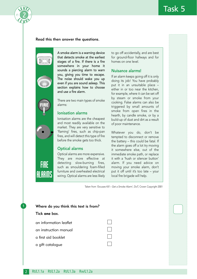

#### Read this then answer the questions.



**FIRE** 

HLARM

A smoke alarm is a warning device that detects smoke at the earliest stages of a fire. If there is a fire somewhere in your home it sounds a piercing alarm to warn you, giving you time to escape. The noise should wake you up even if you are sound asleep. This section explains how to choose and use a fire alarm.

There are two main types of smoke alarms:

#### Ionisation alarms

Ionisation alarms are the cheapest and most readily available on the market. They are very sensitive to 'flaming' fires, such as chip-pan fires, and will detect this type of fire before the smoke gets too thick.

#### Optical alarms

Optical alarms are more expensive. They are more effective at detecting slow-burning fires, such as smouldering foam-filled furniture and overheated electrical wiring. Optical alarms are less likely to go off accidentally, and are best for ground-floor hallways and for homes on one level.

#### Nuisance alarms!

If an alarm keeps going off it is only doing its job! You have probably put it in an unsuitable place – either in or too near the kitchen, for example, where it can be set off by steam or smoke from your cooking. False alarms can also be triggered by small amounts of smoke from open fires in the hearth, by candle smoke, or by a build-up of dust and dirt as a result of poor maintenance.

Whatever you do, don't be tempted to disconnect or remove the battery – this could be fatal. If the alarm goes off a lot try moving it somewhere else, out of the immediate smoke path, or replace it with a 'hush or silencer button' alarm. If you need advice on moving your smoke alarm, don't put it off until it's too late – your local fire brigade will help.

Taken from *'Excuses Kill – Get a Smoke Alarm',* DoT, Crown Copyright 2001

| Where do you think this text is from? |  |  |
|---------------------------------------|--|--|
| Tick one box.                         |  |  |
| an information leaflet                |  |  |
| an instruction manual                 |  |  |
| a first aid booklet                   |  |  |
| a gift catalogue                      |  |  |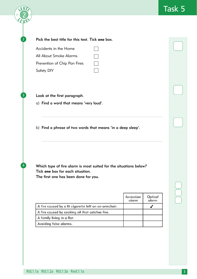

✔

Optical

alarm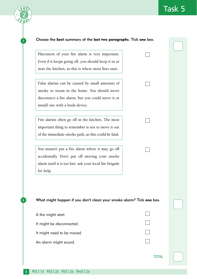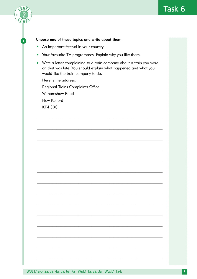

#### Choose one of these topics and write about them.

- An important festival in your country
- Your favourite TV programmes. Explain why you like them.
- Write a letter complaining to a train company about a train you were on that was late. You should explain what happened and what you would like the train company to do.

Here is the address: **Regional Trains Complaints Office** Withamshaw Road New Kelford KF4 3BC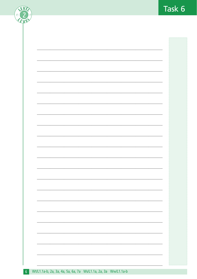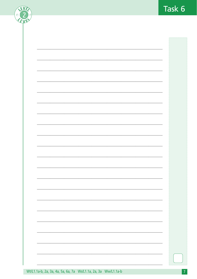